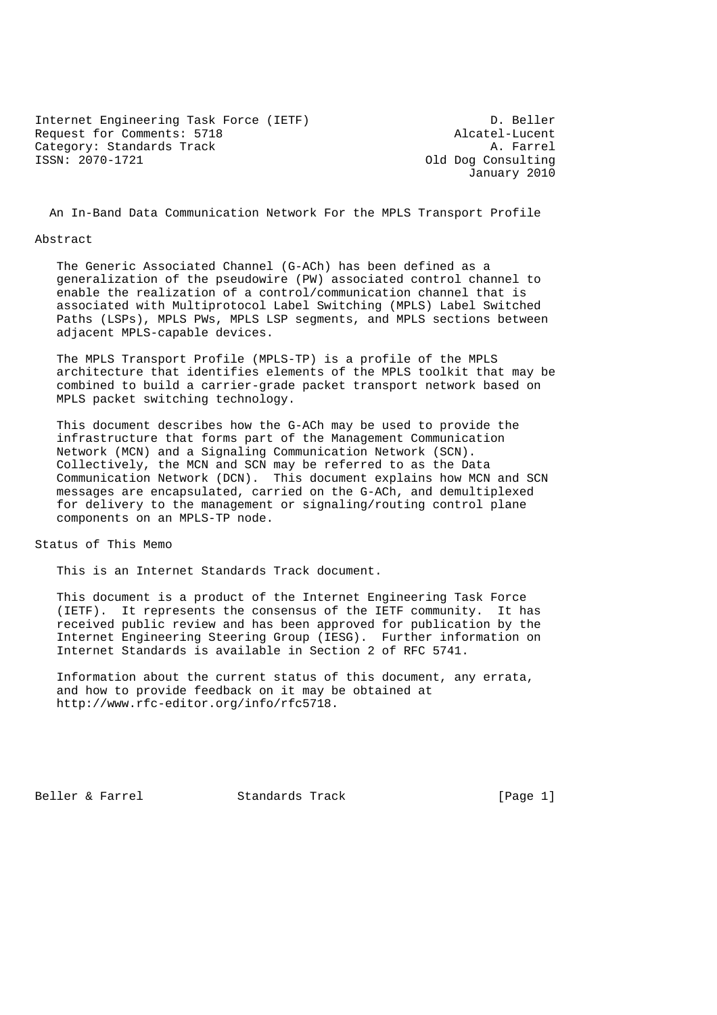Internet Engineering Task Force (IETF) D. Beller Request for Comments: 5718 <br>Category: Standards Track (Alcatel-Lucent A. Farrel Category: Standards Track ISSN: 2070-1721 Old Dog Consulting

January 2010

An In-Band Data Communication Network For the MPLS Transport Profile

#### Abstract

 The Generic Associated Channel (G-ACh) has been defined as a generalization of the pseudowire (PW) associated control channel to enable the realization of a control/communication channel that is associated with Multiprotocol Label Switching (MPLS) Label Switched Paths (LSPs), MPLS PWs, MPLS LSP segments, and MPLS sections between adjacent MPLS-capable devices.

 The MPLS Transport Profile (MPLS-TP) is a profile of the MPLS architecture that identifies elements of the MPLS toolkit that may be combined to build a carrier-grade packet transport network based on MPLS packet switching technology.

 This document describes how the G-ACh may be used to provide the infrastructure that forms part of the Management Communication Network (MCN) and a Signaling Communication Network (SCN). Collectively, the MCN and SCN may be referred to as the Data Communication Network (DCN). This document explains how MCN and SCN messages are encapsulated, carried on the G-ACh, and demultiplexed for delivery to the management or signaling/routing control plane components on an MPLS-TP node.

Status of This Memo

This is an Internet Standards Track document.

 This document is a product of the Internet Engineering Task Force (IETF). It represents the consensus of the IETF community. It has received public review and has been approved for publication by the Internet Engineering Steering Group (IESG). Further information on Internet Standards is available in Section 2 of RFC 5741.

 Information about the current status of this document, any errata, and how to provide feedback on it may be obtained at http://www.rfc-editor.org/info/rfc5718.

Beller & Farrel Standards Track [Page 1]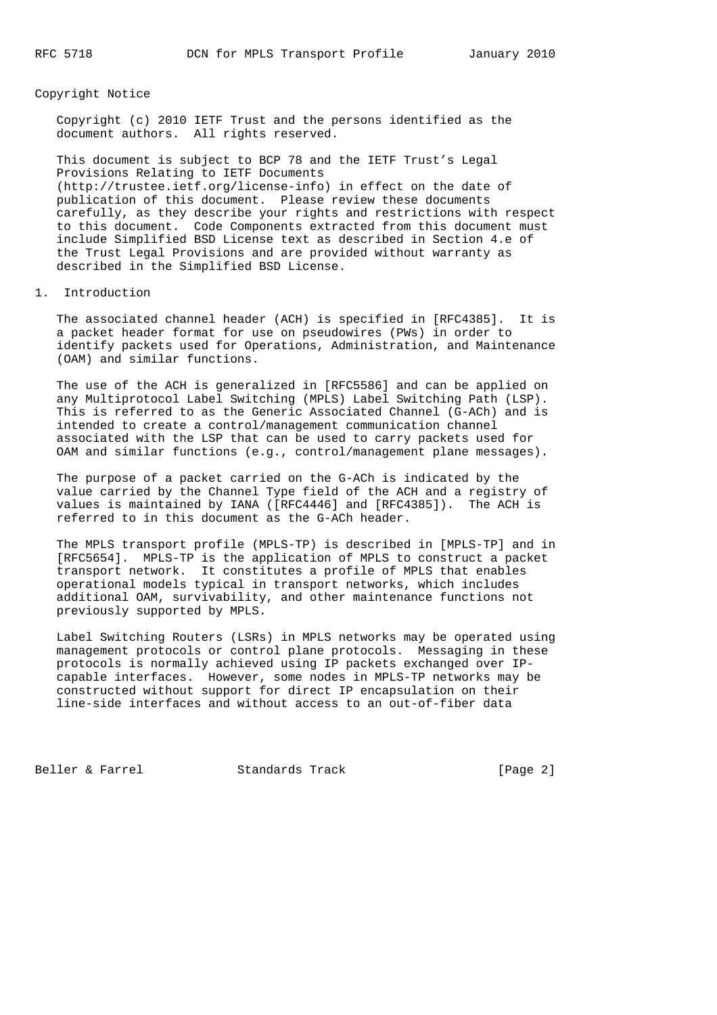### Copyright Notice

 Copyright (c) 2010 IETF Trust and the persons identified as the document authors. All rights reserved.

 This document is subject to BCP 78 and the IETF Trust's Legal Provisions Relating to IETF Documents (http://trustee.ietf.org/license-info) in effect on the date of publication of this document. Please review these documents carefully, as they describe your rights and restrictions with respect to this document. Code Components extracted from this document must include Simplified BSD License text as described in Section 4.e of the Trust Legal Provisions and are provided without warranty as described in the Simplified BSD License.

### 1. Introduction

 The associated channel header (ACH) is specified in [RFC4385]. It is a packet header format for use on pseudowires (PWs) in order to identify packets used for Operations, Administration, and Maintenance (OAM) and similar functions.

 The use of the ACH is generalized in [RFC5586] and can be applied on any Multiprotocol Label Switching (MPLS) Label Switching Path (LSP). This is referred to as the Generic Associated Channel (G-ACh) and is intended to create a control/management communication channel associated with the LSP that can be used to carry packets used for OAM and similar functions (e.g., control/management plane messages).

 The purpose of a packet carried on the G-ACh is indicated by the value carried by the Channel Type field of the ACH and a registry of values is maintained by IANA ([RFC4446] and [RFC4385]). The ACH is referred to in this document as the G-ACh header.

 The MPLS transport profile (MPLS-TP) is described in [MPLS-TP] and in [RFC5654]. MPLS-TP is the application of MPLS to construct a packet transport network. It constitutes a profile of MPLS that enables operational models typical in transport networks, which includes additional OAM, survivability, and other maintenance functions not previously supported by MPLS.

 Label Switching Routers (LSRs) in MPLS networks may be operated using management protocols or control plane protocols. Messaging in these protocols is normally achieved using IP packets exchanged over IP capable interfaces. However, some nodes in MPLS-TP networks may be constructed without support for direct IP encapsulation on their line-side interfaces and without access to an out-of-fiber data

Beller & Farrel Standards Track [Page 2]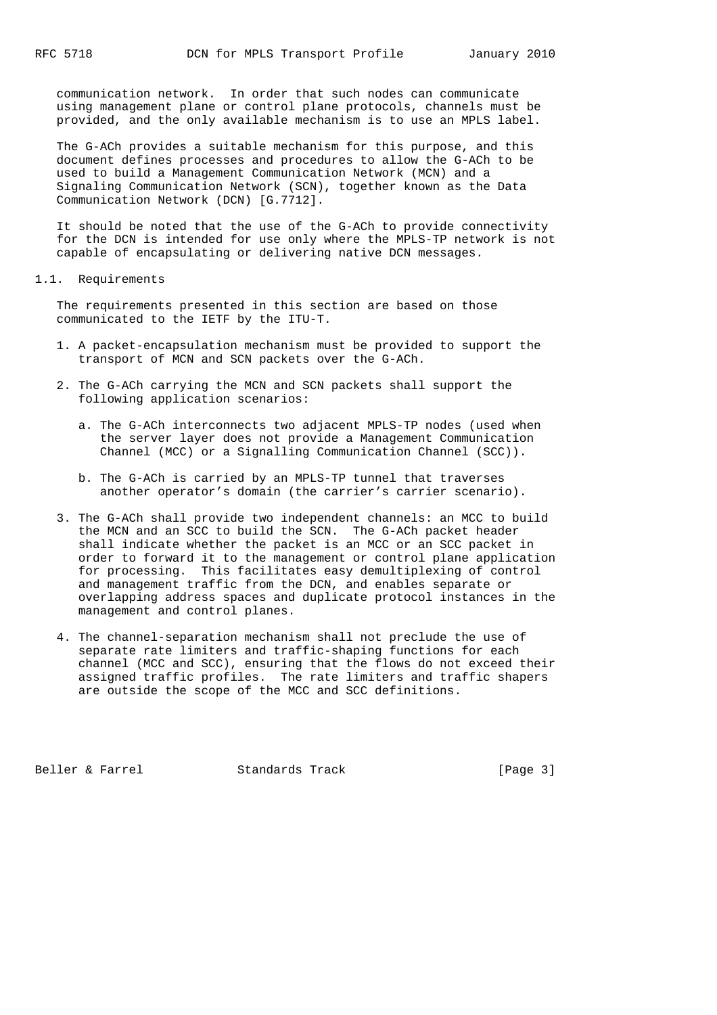communication network. In order that such nodes can communicate using management plane or control plane protocols, channels must be provided, and the only available mechanism is to use an MPLS label.

 The G-ACh provides a suitable mechanism for this purpose, and this document defines processes and procedures to allow the G-ACh to be used to build a Management Communication Network (MCN) and a Signaling Communication Network (SCN), together known as the Data Communication Network (DCN) [G.7712].

 It should be noted that the use of the G-ACh to provide connectivity for the DCN is intended for use only where the MPLS-TP network is not capable of encapsulating or delivering native DCN messages.

#### 1.1. Requirements

 The requirements presented in this section are based on those communicated to the IETF by the ITU-T.

- 1. A packet-encapsulation mechanism must be provided to support the transport of MCN and SCN packets over the G-ACh.
- 2. The G-ACh carrying the MCN and SCN packets shall support the following application scenarios:
	- a. The G-ACh interconnects two adjacent MPLS-TP nodes (used when the server layer does not provide a Management Communication Channel (MCC) or a Signalling Communication Channel (SCC)).
	- b. The G-ACh is carried by an MPLS-TP tunnel that traverses another operator's domain (the carrier's carrier scenario).
- 3. The G-ACh shall provide two independent channels: an MCC to build the MCN and an SCC to build the SCN. The G-ACh packet header shall indicate whether the packet is an MCC or an SCC packet in order to forward it to the management or control plane application for processing. This facilitates easy demultiplexing of control and management traffic from the DCN, and enables separate or overlapping address spaces and duplicate protocol instances in the management and control planes.
- 4. The channel-separation mechanism shall not preclude the use of separate rate limiters and traffic-shaping functions for each channel (MCC and SCC), ensuring that the flows do not exceed their assigned traffic profiles. The rate limiters and traffic shapers are outside the scope of the MCC and SCC definitions.

Beller & Farrel Standards Track [Page 3]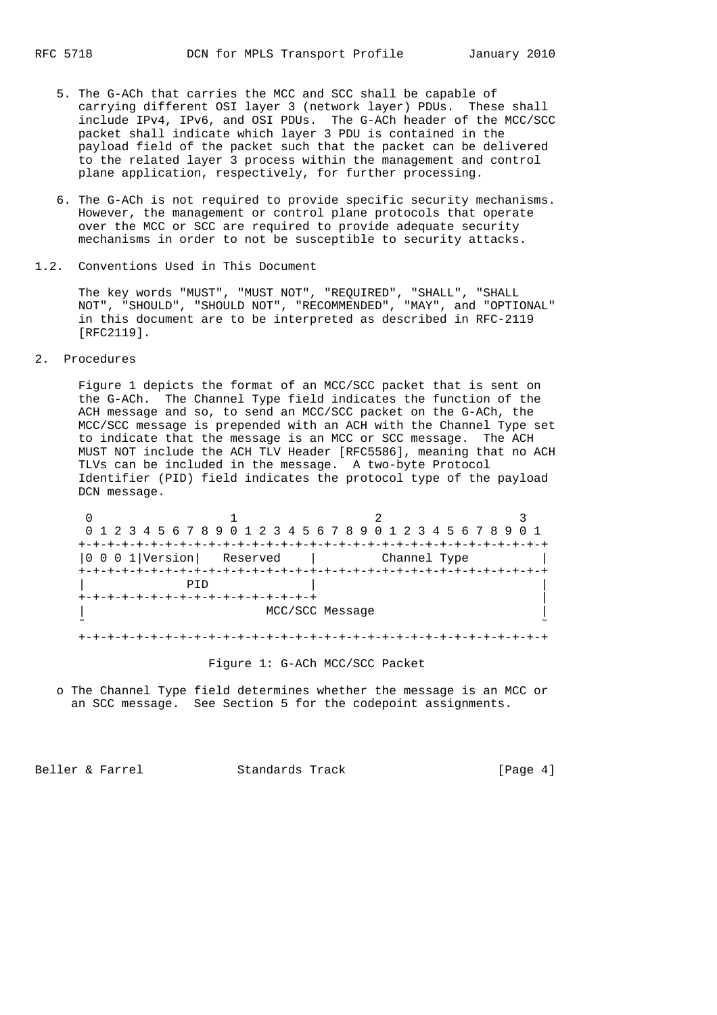- 5. The G-ACh that carries the MCC and SCC shall be capable of carrying different OSI layer 3 (network layer) PDUs. These shall include IPv4, IPv6, and OSI PDUs. The G-ACh header of the MCC/SCC packet shall indicate which layer 3 PDU is contained in the payload field of the packet such that the packet can be delivered to the related layer 3 process within the management and control plane application, respectively, for further processing.
- 6. The G-ACh is not required to provide specific security mechanisms. However, the management or control plane protocols that operate over the MCC or SCC are required to provide adequate security mechanisms in order to not be susceptible to security attacks.
- 1.2. Conventions Used in This Document

 The key words "MUST", "MUST NOT", "REQUIRED", "SHALL", "SHALL NOT", "SHOULD", "SHOULD NOT", "RECOMMENDED", "MAY", and "OPTIONAL" in this document are to be interpreted as described in RFC-2119 [RFC2119].

2. Procedures

 Figure 1 depicts the format of an MCC/SCC packet that is sent on the G-ACh. The Channel Type field indicates the function of the ACH message and so, to send an MCC/SCC packet on the G-ACh, the MCC/SCC message is prepended with an ACH with the Channel Type set to indicate that the message is an MCC or SCC message. The ACH MUST NOT include the ACH TLV Header [RFC5586], meaning that no ACH TLVs can be included in the message. A two-byte Protocol Identifier (PID) field indicates the protocol type of the payload DCN message.

|                                                                              | 0 1 2 3 4 5 6 7 8 9 0 1 2 3 4 5 6 7 8 9 0 1 2 3 4 5 6 7 8 9 0 1 |  |
|------------------------------------------------------------------------------|-----------------------------------------------------------------|--|
| -+-+-+-+-+-+-+-+-+                                                           |                                                                 |  |
| $\begin{array}{ c c c c c } \hline 0 & 0 & 1 \end{array}$ [Version] Reserved | Channel Type                                                    |  |
|                                                                              |                                                                 |  |
| PTD                                                                          |                                                                 |  |
|                                                                              |                                                                 |  |
|                                                                              | MCC/SCC Message                                                 |  |
|                                                                              |                                                                 |  |

Figure 1: G-ACh MCC/SCC Packet

 o The Channel Type field determines whether the message is an MCC or an SCC message. See Section 5 for the codepoint assignments.

Beller & Farrel Standards Track [Page 4]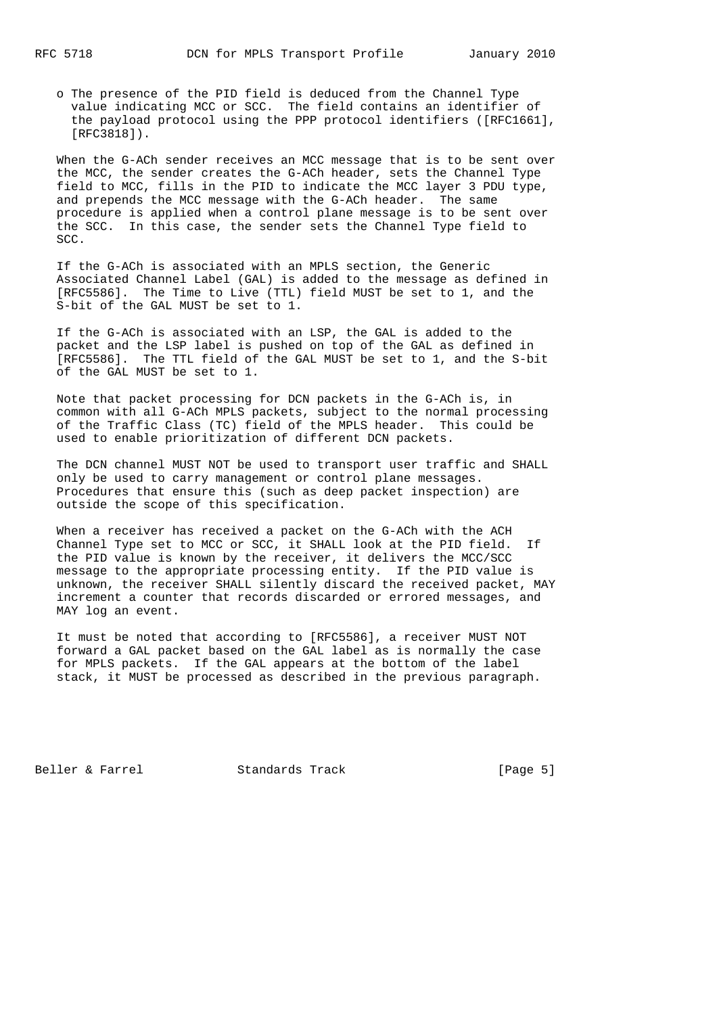o The presence of the PID field is deduced from the Channel Type value indicating MCC or SCC. The field contains an identifier of the payload protocol using the PPP protocol identifiers ([RFC1661], [RFC3818]).

 When the G-ACh sender receives an MCC message that is to be sent over the MCC, the sender creates the G-ACh header, sets the Channel Type field to MCC, fills in the PID to indicate the MCC layer 3 PDU type, and prepends the MCC message with the G-ACh header. The same procedure is applied when a control plane message is to be sent over the SCC. In this case, the sender sets the Channel Type field to SCC.

 If the G-ACh is associated with an MPLS section, the Generic Associated Channel Label (GAL) is added to the message as defined in [RFC5586]. The Time to Live (TTL) field MUST be set to 1, and the S-bit of the GAL MUST be set to 1.

 If the G-ACh is associated with an LSP, the GAL is added to the packet and the LSP label is pushed on top of the GAL as defined in [RFC5586]. The TTL field of the GAL MUST be set to 1, and the S-bit of the GAL MUST be set to 1.

 Note that packet processing for DCN packets in the G-ACh is, in common with all G-ACh MPLS packets, subject to the normal processing of the Traffic Class (TC) field of the MPLS header. This could be used to enable prioritization of different DCN packets.

 The DCN channel MUST NOT be used to transport user traffic and SHALL only be used to carry management or control plane messages. Procedures that ensure this (such as deep packet inspection) are outside the scope of this specification.

 When a receiver has received a packet on the G-ACh with the ACH Channel Type set to MCC or SCC, it SHALL look at the PID field. If the PID value is known by the receiver, it delivers the MCC/SCC message to the appropriate processing entity. If the PID value is unknown, the receiver SHALL silently discard the received packet, MAY increment a counter that records discarded or errored messages, and MAY log an event.

 It must be noted that according to [RFC5586], a receiver MUST NOT forward a GAL packet based on the GAL label as is normally the case for MPLS packets. If the GAL appears at the bottom of the label stack, it MUST be processed as described in the previous paragraph.

Beller & Farrel Standards Track [Page 5]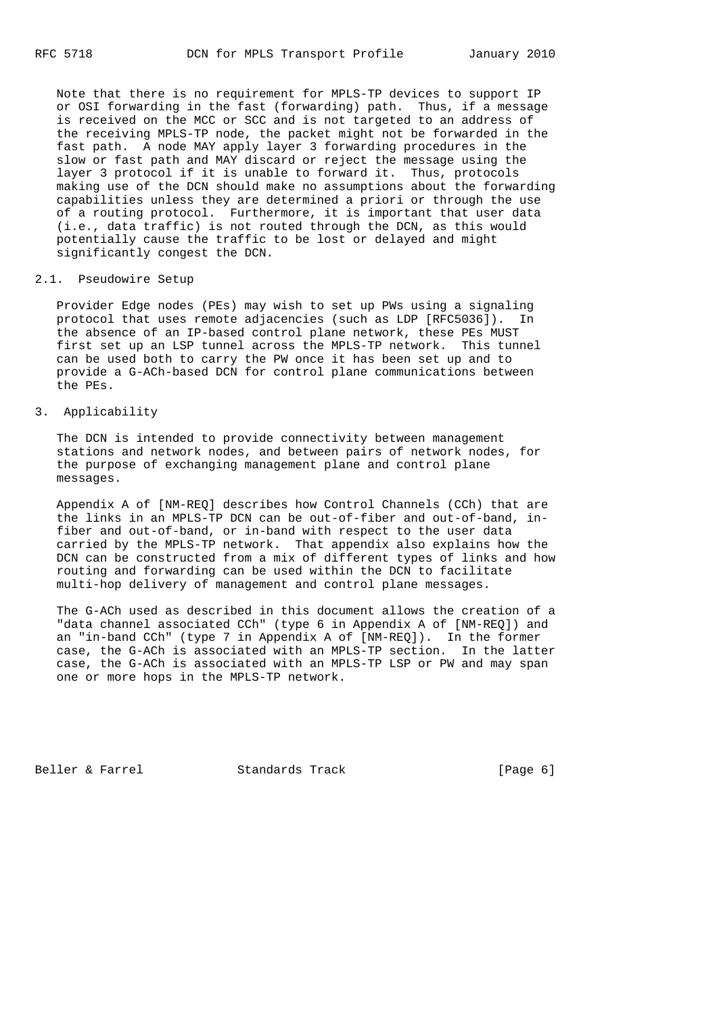Note that there is no requirement for MPLS-TP devices to support IP or OSI forwarding in the fast (forwarding) path. Thus, if a message is received on the MCC or SCC and is not targeted to an address of the receiving MPLS-TP node, the packet might not be forwarded in the fast path. A node MAY apply layer 3 forwarding procedures in the slow or fast path and MAY discard or reject the message using the layer 3 protocol if it is unable to forward it. Thus, protocols making use of the DCN should make no assumptions about the forwarding capabilities unless they are determined a priori or through the use of a routing protocol. Furthermore, it is important that user data (i.e., data traffic) is not routed through the DCN, as this would potentially cause the traffic to be lost or delayed and might significantly congest the DCN.

## 2.1. Pseudowire Setup

 Provider Edge nodes (PEs) may wish to set up PWs using a signaling protocol that uses remote adjacencies (such as LDP [RFC5036]). In the absence of an IP-based control plane network, these PEs MUST first set up an LSP tunnel across the MPLS-TP network. This tunnel can be used both to carry the PW once it has been set up and to provide a G-ACh-based DCN for control plane communications between the PEs.

# 3. Applicability

 The DCN is intended to provide connectivity between management stations and network nodes, and between pairs of network nodes, for the purpose of exchanging management plane and control plane messages.

 Appendix A of [NM-REQ] describes how Control Channels (CCh) that are the links in an MPLS-TP DCN can be out-of-fiber and out-of-band, in fiber and out-of-band, or in-band with respect to the user data carried by the MPLS-TP network. That appendix also explains how the DCN can be constructed from a mix of different types of links and how routing and forwarding can be used within the DCN to facilitate multi-hop delivery of management and control plane messages.

 The G-ACh used as described in this document allows the creation of a "data channel associated CCh" (type 6 in Appendix A of [NM-REQ]) and an "in-band CCh" (type 7 in Appendix A of [NM-REQ]). In the former case, the G-ACh is associated with an MPLS-TP section. In the latter case, the G-ACh is associated with an MPLS-TP LSP or PW and may span one or more hops in the MPLS-TP network.

Beller & Farrel Standards Track [Page 6]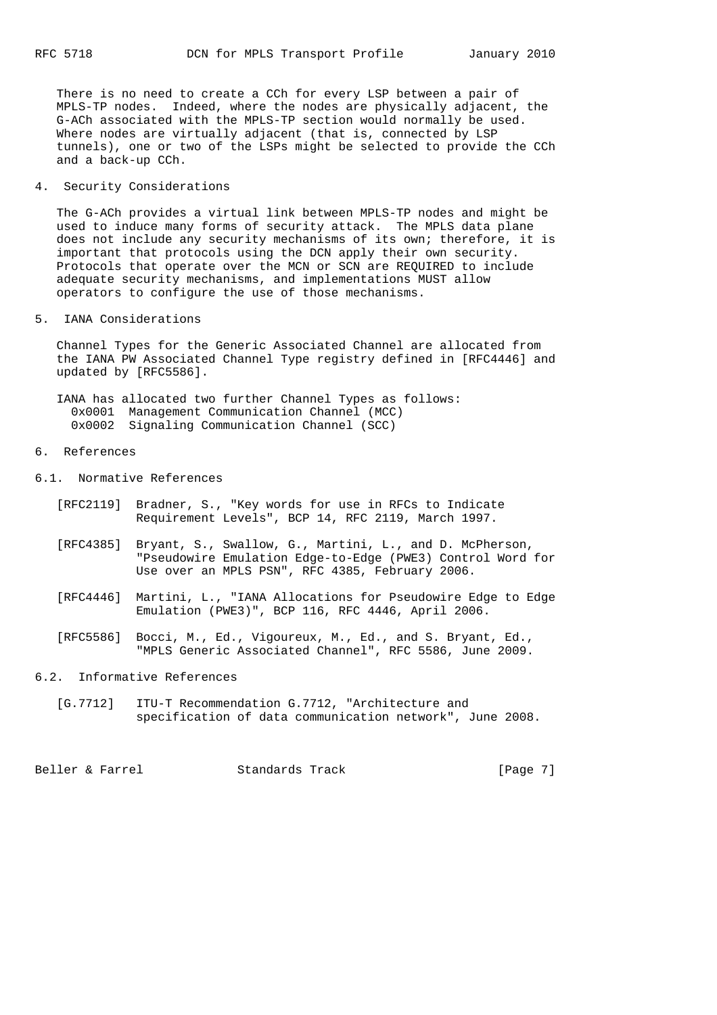There is no need to create a CCh for every LSP between a pair of MPLS-TP nodes. Indeed, where the nodes are physically adjacent, the G-ACh associated with the MPLS-TP section would normally be used. Where nodes are virtually adjacent (that is, connected by LSP tunnels), one or two of the LSPs might be selected to provide the CCh and a back-up CCh.

### 4. Security Considerations

 The G-ACh provides a virtual link between MPLS-TP nodes and might be used to induce many forms of security attack. The MPLS data plane does not include any security mechanisms of its own; therefore, it is important that protocols using the DCN apply their own security. Protocols that operate over the MCN or SCN are REQUIRED to include adequate security mechanisms, and implementations MUST allow operators to configure the use of those mechanisms.

### 5. IANA Considerations

 Channel Types for the Generic Associated Channel are allocated from the IANA PW Associated Channel Type registry defined in [RFC4446] and updated by [RFC5586].

 IANA has allocated two further Channel Types as follows: 0x0001 Management Communication Channel (MCC) 0x0002 Signaling Communication Channel (SCC)

### 6. References

6.1. Normative References

- [RFC2119] Bradner, S., "Key words for use in RFCs to Indicate Requirement Levels", BCP 14, RFC 2119, March 1997.
- [RFC4385] Bryant, S., Swallow, G., Martini, L., and D. McPherson, "Pseudowire Emulation Edge-to-Edge (PWE3) Control Word for Use over an MPLS PSN", RFC 4385, February 2006.
- [RFC4446] Martini, L., "IANA Allocations for Pseudowire Edge to Edge Emulation (PWE3)", BCP 116, RFC 4446, April 2006.
- [RFC5586] Bocci, M., Ed., Vigoureux, M., Ed., and S. Bryant, Ed., "MPLS Generic Associated Channel", RFC 5586, June 2009.

# 6.2. Informative References

 [G.7712] ITU-T Recommendation G.7712, "Architecture and specification of data communication network", June 2008.

Beller & Farrel Standards Track [Page 7]